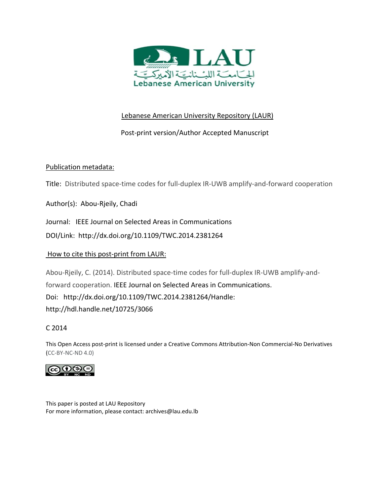

# Lebanese American University Repository (LAUR)

# Post‐print version/Author Accepted Manuscript

# Publication metadata:

Title: Distributed space‐time codes for full‐duplex IR‐UWB amplify‐and‐forward cooperation

Author(s): Abou‐Rjeily, Chadi

Journal: IEEE Journal on Selected Areas in Communications

DOI/Link: http://dx.doi.org/10.1109/TWC.2014.2381264

# How to cite this post‐print from LAUR:

Abou-Rjeily, C. (2014). Distributed space-time codes for full-duplex IR-UWB amplify-andforward cooperation. IEEE Journal on Selected Areas in Communications. Doi: http://dx.doi.org/10.1109/TWC.2014.2381264/Handle: http://hdl.handle.net/10725/3066

# C 2014

This Open Access post‐print is licensed under a Creative Commons Attribution‐Non Commercial‐No Derivatives (CC‐BY‐NC‐ND 4.0)



This paper is posted at LAU Repository For more information, please contact: archives@lau.edu.lb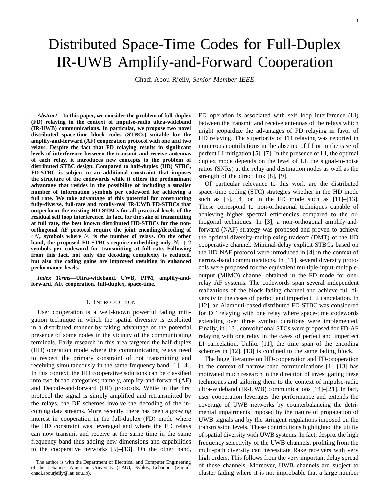# Distributed Space-Time Codes for Full-Duplex IR-UWB Amplify-and-Forward Cooperation

Chadi Abou-Rjeily, *Senior Member IEEE*

*Abstract***—In this paper, we consider the problem of full-duplex (FD) relaying in the context of impulse-radio ultra-wideband (IR-UWB) communications. In particular, we propose two novel distributed space-time block codes (STBCs) suitable for the amplify-and-forward (AF) cooperation protocol with one and two relays. Despite the fact that FD relaying results in significant levels of interference between the transmit and receive antennas of each relay, it introduces new concepts to the problem of distributed STBC design. Compared to half-duplex (HD) STBC, FD-STBC is subject to an additional constraint that imposes the structure of the codewords while it offers the predominant advantage that resides in the possibility of including a smaller number of information symbols per codeword for achieving a full rate. We take advantage of this potential for constructing fully-diverse, full-rate and totally-real IR-UWB FD-STBCs that outperform the existing HD-STBCs for all practical levels of the residual self loop interference. In fact, for the sake of transmitting at full rate, the best known distributed HD-STBCs for the nonorthogonal AF protocol require the joint encoding/decoding of**  $4N_r$  symbols where  $N_r$  is the number of relays. On the other hand, the proposed FD-STBCs require embedding only  $N_r + 2$ **symbols per codeword for transmitting at full rate. Following from this fact, not only the decoding complexity is reduced, but also the coding gains are improved resulting in enhanced performance levels.**

*Index Terms***—Ultra-wideband, UWB, PPM, amplify-andforward, AF, cooperation, full-duplex, space-time.**

## I. INTRODUCTION

User cooperation is a well-known powerful fading mitigation technique in which the spatial diversity is exploited in a distributed manner by taking advantage of the potential presence of some nodes in the vicinity of the communicating terminals. Early research in this area targeted the half-duplex (HD) operation mode where the communicating relays need to respect the primary constraint of not transmitting and receiving simultaneously in the same frequency band [1]–[4]. In this context, the HD cooperative solutions can be classified into two broad categories; namely, amplify-and-forward (AF) and Decode-and-forward (DF) protocols. While in the first protocol the signal is simply amplified and retransmitted by the relays, the DF schemes involve the decoding of the incoming data streams. More recently, there has been a growing interest in cooperation in the full-duplex (FD) mode where the HD constraint was leveraged and where the FD relays can now transmit and receive at the same time in the same frequency band thus adding new dimensions and capabilities to the cooperative networks [5]–[13]. On the other hand,

FD operation is associated with self loop interference (LI) between the transmit and receive antennas of the relays which might jeopardize the advantages of FD relaying in favor of HD relaying. The superiority of FD relaying was reported in numerous contributions in the absence of LI or in the case of perfect LI mitigation [5]–[7]. In the presence of LI, the optimal duplex mode depends on the level of LI, the signal-to-noise ratios (SNRs) at the relay and destination nodes as well as the strength of the direct link [8], [9].

Of particular relevance to this work are the distributed space-time coding (STC) strategies whether in the HD mode such as [3], [4] or in the FD mode such as [11]–[13]. These correspond to non-orthogonal techniques capable of achieving higher spectral efficiencies compared to the orthogonal techniques. In [3], a non-orthogonal amplify-andforward (NAF) strategy was proposed and proven to achieve the optimal diversity-multiplexing tradeoff (DMT) of the HD cooperative channel. Minimal-delay explicit STBCs based on the HD-NAF protocol were introduced in [4] in the context of narrow-band communications. In [11], several diversity protocols were proposed for the equivalent multiple-input-multipleoutput (MIMO) channel obtained in the FD mode for onerelay AF systems. The codewords span several independent realizations of the block fading channel and achieve full diversity in the cases of perfect and imperfect LI cancelation. In [12], an Alamouti-based distributed FD-STBC was considered for DF relaying with one relay where space-time codewords extending over three symbol durations were implemented. Finally, in [13], convolutional STCs were proposed for FD-AF relaying with one relay in the cases of perfect and imperfect LI cancelation. Unlike [11], the time span of the encoding schemes in [12], [13] is confined to the same fading block.

The huge literature on HD-cooperation and FD-cooperation in the context of narrow-band communications [1]–[13] has motivated much research in the direction of investigating these techniques and tailoring them to the context of impulse-radio ultra-wideband (IR-UWB) communications [14]–[21]. In fact, user cooperation leverages the performance and extends the coverage of UWB networks by counterbalancing the detrimental impairments imposed by the nature of propagation of UWB signals and by the stringent regulations imposed on the transmission levels. These contributions highlighted the utility of spatial diversity with UWB systems. In fact, despite the high frequency selectivity of the UWB channels, profiting from the multi-path diversity can necessitate Rake receivers with very high orders. This follows from the very important delay spread of these channels. Moreover, UWB channels are subject to cluster fading where it is not improbable that a large number

The author is with the Department of Electrical and Computer Engineering of the Lebanese American University (LAU), Byblos, Lebanon. (e-mail: chadi.abourjeily@lau.edu.lb).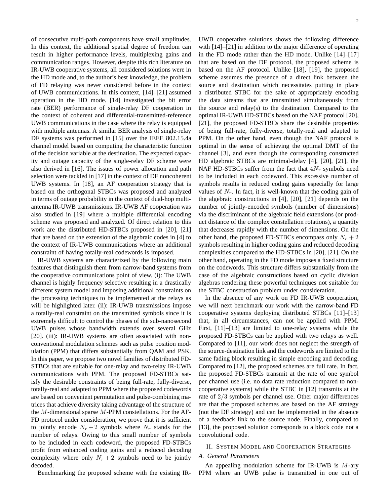of consecutive multi-path components have small amplitudes. In this context, the additional spatial degree of freedom can result in higher performance levels, multiplexing gains and communication ranges. However, despite this rich literature on IR-UWB cooperative systems, all considered solutions were in the HD mode and, to the author's best knowledge, the problem of FD relaying was never considered before in the context of UWB communications. In this context, [14]–[21] assumed operation in the HD mode. [14] investigated the bit error rate (BER) performance of single-relay DF cooperation in the context of coherent and differential-transmitted-reference UWB communications in the case where the relay is equipped with multiple antennas. A similar BER analysis of single-relay DF systems was performed in [15] over the IEEE 802.15.4a channel model based on computing the characteristic function of the decision variable at the destination. The expected capacity and outage capacity of the single-relay DF scheme were also derived in [16]. The issues of power allocation and path selection were tackled in [17] in the context of DF noncoherent UWB systems. In [18], an AF cooperation strategy that is based on the orthogonal STBCs was proposed and analyzed in terms of outage probability in the context of dual-hop multiantenna IR-UWB transmissions. IR-UWB AF cooperation was also studied in [19] where a multiple differential encoding scheme was proposed and analyzed. Of direct relation to this work are the distributed HD-STBCs proposed in [20], [21] that are based on the extension of the algebraic codes in [4] to the context of IR-UWB communications where an additional constraint of having totally-real codewords is imposed.

IR-UWB systems are characterized by the following main features that distinguish them from narrow-band systems from the cooperative communications point of view. (i): The UWB channel is highly frequency selective resulting in a drastically different system model and imposing additional constraints on the processing techniques to be implemented at the relays as will be highlighted later. (ii): IR-UWB transmissions impose a totally-real constraint on the transmitted symbols since it is extremely difficult to control the phases of the sub-nanosecond UWB pulses whose bandwidth extends over several GHz [20]. (iii): IR-UWB systems are often associated with nonconventional modulation schemes such as pulse position modulation (PPM) that differs substantially from QAM and PSK. In this paper, we propose two novel families of distributed FD-STBCs that are suitable for one-relay and two-relay IR-UWB communications with PPM. The proposed FD-STBCs satisfy the desirable constraints of being full-rate, fully-diverse, totally-real and adapted to PPM where the proposed codewords are based on convenient permutation and pulse-combining matrices that achieve diversity taking advantage of the structure of the  $M$ -dimensional sparse  $M$ -PPM constellations. For the AF-FD protocol under consideration, we prove that it is sufficient to jointly encode  $N_r + 2$  symbols where  $N_r$  stands for the number of relays. Owing to this small number of symbols to be included in each codeword, the proposed FD-STBCs profit from enhanced coding gains and a reduced decoding complexity where only  $N_r + 2$  symbols need to be jointly decoded.

Benchmarking the proposed scheme with the existing IR-

UWB cooperative solutions shows the following difference with  $[14]$ – $[21]$  in addition to the major difference of operating in the FD mode rather than the HD mode. Unlike [14]–[17] that are based on the DF protocol, the proposed scheme is based on the AF protocol. Unlike [18], [19], the proposed scheme assumes the presence of a direct link between the source and destination which necessitates putting in place a distributed STBC for the sake of appropriately encoding the data streams that are transmitted simultaneously from the source and relay(s) to the destination. Compared to the optimal IR-UWB HD-STBCs based on the NAF protocol [20], [21], the proposed FD-STBCs share the desirable properties of being full-rate, fully-diverse, totally-real and adapted to PPM. On the other hand, even though the NAF protocol is optimal in the sense of achieving the optimal DMT of the channel [3], and even though the corresponding constructed HD algebraic STBCs are minimal-delay [4], [20], [21], the NAF HD-STBCs suffer from the fact that  $4N_r$  symbols need to be included in each codeword. This excessive number of symbols results in reduced coding gains especially for large values of  $N_r$ . In fact, it is well-known that the coding gain of the algebraic constructions in [4], [20], [21] depends on the number of jointly-encoded symbols (number of dimensions) via the discriminant of the algebraic field extensions (or product distance of the complex constellation rotations), a quantity that decreases rapidly with the number of dimensions. On the other hand, the proposed FD-STBCs encompass only  $N_r + 2$ symbols resulting in higher coding gains and reduced decoding complexities compared to the HD-STBCs in [20], [21]. On the other hand, operating in the FD mode imposes a fixed structure on the codewords. This structure differs substantially from the case of the algebraic constructions based on cyclic division algebras rendering these powerful techniques not suitable for the STBC construction problem under consideration.

In the absence of any work on FD IR-UWB cooperation, we will next benchmark our work with the narrow-band FD cooperative systems deploying distributed STBCs [11]–[13] that, in all circumstances, can not be applied with PPM. First, [11]–[13] are limited to one-relay systems while the proposed FD-STBCs can be applied with two relays as well. Compared to [11], our work does not neglect the strength of the source-destination link and the codewords are limited to the same fading block resulting in simple encoding and decoding. Compared to [12], the proposed schemes are full rate. In fact, the proposed FD-STBCs transmit at the rate of one symbol per channel use (i.e. no data rate reduction compared to noncooperative systems) while the STBC in [12] transmits at the rate of 2/3 symbols per channel use. Other major differences are that the proposed schemes are based on the AF strategy (not the DF strategy) and can be implemented in the absence of a feedback link to the source node. Finally, compared to [13], the proposed solution corresponds to a block code not a convolutional code.

#### II. SYSTEM MODEL AND COOPERATION STRATEGIES

## *A. General Parameters*

An appealing modulation scheme for IR-UWB is  $M$ -ary PPM where an UWB pulse is transmitted in one out of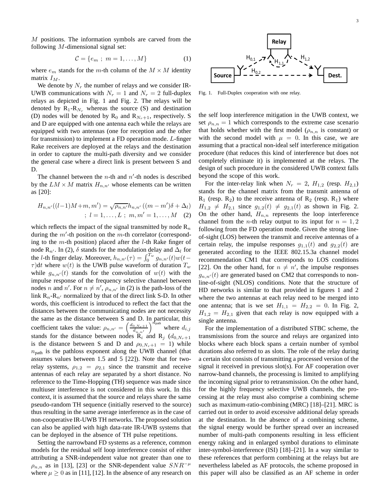M positions. The information symbols are carved from the following  $M$ -dimensional signal set:

$$
\mathcal{C} = \{e_m ; m = 1, \dots, M\} \tag{1}
$$

where  $e_m$  stands for the m-th column of the  $M \times M$  identity matrix  $I_M$ .

We denote by  $N_r$  the number of relays and we consider IR-UWB communications with  $N_r = 1$  and  $N_r = 2$  full-duplex relays as depicted in Fig. 1 and Fig. 2. The relays will be denoted by  $R_1-R_{N_r}$  whereas the source (S) and destination (D) nodes will be denoted by  $R_0$  and  $R_{N_r+1}$ , respectively. S and D are equipped with one antenna each while the relays are equipped with two antennas (one for reception and the other for transmission) to implement a FD operation mode. L-finger Rake receivers are deployed at the relays and the destination in order to capture the multi-path diversity and we consider the general case where a direct link is present between S and D.

The channel between the  $n$ -th and  $n'$ -th nodes is described by the  $LM \times M$  matrix  $H_{n,n'}$  whose elements can be written as [20]:

$$
H_{n,n'}((l-1)M+m, m') = \sqrt{\rho_{n,n'}} h_{n,n'}((m-m')\delta + \Delta_l)
$$
  
;  
 $l = 1, ..., L; m, m' = 1, ..., M$  (2)

which reflects the impact of the signal transmitted by node  $\mathsf{R}_n$ during the  $m'$ -th position on the  $m$ -th correlator (corresponding to the  $m$ -th position) placed after the  $l$ -th Rake finger of node R<sub>n'</sub>. In (2),  $\delta$  stands for the modulation delay and  $\Delta_l$  for the *l*-th finger delay. Moreover,  $h_{n,n'}(\tau) = \int_0^{T_w} g_{n,n'}(t) w(t \tau$ )dt where  $w(t)$  is the UWB pulse waveform of duration  $T_w$ while  $g_{n,n'}(t)$  stands for the convolution of  $w(t)$  with the impulse response of the frequency selective channel between nodes *n* and *n'*. For  $n \neq n'$ ,  $\rho_{n,n'}$  in (2) is the path-loss of the link  $R_n-R_{n'}$  normalized by that of the direct link S-D. In other words, this coefficient is introduced to reflect the fact that the distances between the communicating nodes are not necessity the same as the distance between S and D. In particular, this coefficient takes the value:  $\rho_{n,n'} = \left(\frac{d_{0,N_r+1}}{d_{1,r}}\right)$  $\left(\frac{d_{n,n'}-d_{n,n'}}{d_{n,n'}}\right)^{n}$  where  $d_{i,j}$ stands for the distance between nodes  $\mathbf{R}_i$  and  $\mathbf{R}_j$  ( $d_{0,N_r+1}$ ) is the distance between S and D and  $\rho_{0,N_{r+1}} = 1$ ) while  $n<sub>path</sub>$  is the pathloss exponent along the UWB channel (that assumes values between 1.5 and 5 [22]). Note that for tworelay systems,  $\rho_{1,2} = \rho_{2,1}$  since the transmit and receive antennas of each relay are separated by a short distance. No reference to the Time-Hopping (TH) sequence was made since multiuser interference is not considered in this work. In this context, it is assumed that the source and relays share the same pseudo-random TH sequence (initially reserved to the source) thus resulting in the same average interference as in the case of non-cooperative IR-UWB TH networks. The proposed solution can also be applied with high data-rate IR-UWB systems that can be deployed in the absence of TH pulse repetitions.

Setting the narrowband FD systems as a reference, common models for the residual self loop interference consist of either attributing a SNR-independent value not greater than one to  $\rho_{n,n}$  as in [13], [23] or the SNR-dependent value  $SNR^{-\mu}$ where  $\mu \geq 0$  as in [11], [12]. In the absence of any research on



Fig. 1. Full-Duplex cooperation with one relay.

the self loop interference mitigation in the UWB context, we set  $\rho_{n,n} = 1$  which corresponds to the extreme case scenario that holds whether with the first model ( $\rho_{n,n}$  is constant) or with the second model with  $\mu = 0$ . In this case, we are assuming that a practical non-ideal self interference mitigation procedure (that reduces this kind of interference but does not completely eliminate it) is implemented at the relays. The design of such procedure in the considered UWB context falls beyond the scope of this work.

For the inter-relay link when  $N_r = 2$ ,  $H_{1,2}$  (resp.  $H_{2,1}$ ) stands for the channel matrix from the transmit antenna of  $R_1$  (resp.  $R_2$ ) to the receive antenna of  $R_2$  (resp.  $R_1$ ) where  $H_{1,2} \neq H_{2,1}$  since  $g_{1,2}(t) \neq g_{2,1}(t)$  as shown in Fig. 2. On the other hand,  $H_{n,n}$  represents the loop interference channel from the *n*-th relay output to its input for  $n = 1, 2$ following from the FD operation mode. Given the strong lineof-sight (LOS) between the transmit and receive antennas of a certain relay, the impulse responses  $g_{1,1}(t)$  and  $g_{2,2}(t)$  are generated according to the IEEE 802.15.3a channel model recommendation CM1 that corresponds to LOS conditions [22]. On the other hand, for  $n \neq n'$ , the impulse responses  $g_{n,n'}(t)$  are generated based on CM2 that corresponds to nonline-of-sight (NLOS) conditions. Note that the structure of HD networks is similar to that provided in figures 1 and 2 where the two antennas at each relay need to be merged into one antenna; that is we set  $H_{1,1} = H_{2,2} = 0$ . In Fig. 2,  $H_{1,2} = H_{2,1}$  given that each relay is now equipped with a single antenna.

For the implementation of a distributed STBC scheme, the transmissions from the source and relays are organized into blocks where each block spans a certain number of symbol durations also referred to as slots. The role of the relay during a certain slot consists of transmitting a processed version of the signal it received in previous slot(s). For AF cooperation over narrow-band channels, the processing is limited to amplifying the incoming signal prior to retransmission. On the other hand, for the highly frequency selective UWB channels, the processing at the relay must also comprise a combining scheme such as maximum-ratio-combining (MRC) [18]–[21]. MRC is carried out in order to avoid excessive additional delay spreads at the destination. In the absence of a combining scheme, the signal energy would be further spread over an increased number of multi-path components resulting in less efficient energy raking and in enlarged symbol durations to eliminate inter-symbol-interference (ISI) [18]–[21]. In a way similar to these references that perform combining at the relays but are nevertheless labeled as AF protocols, the scheme proposed in this paper will also be classified as an AF scheme in order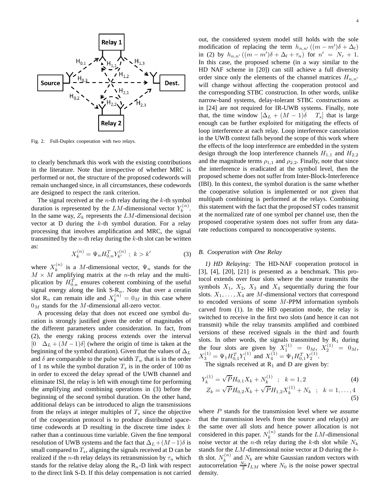

Fig. 2. Full-Duplex cooperation with two relays.

to clearly benchmark this work with the existing contributions in the literature. Note that irrespective of whether MRC is performed or not, the structure of the proposed codewords will remain unchanged since, in all circumstances, these codewords are designed to respect the rank criterion.

The signal received at the  $n$ -th relay during the  $k$ -th symbol duration is represented by the LM-dimensional vector  $Y_k^{(n)}$  $\frac{r(n)}{k}$ . In the same way,  $Z_k$  represents the LM-dimensional decision vector at  $D$  during the  $k$ -th symbol duration. For a relay processing that involves amplification and MRC, the signal transmitted by the  $n$ -th relay during the  $k$ -th slot can be written as:

$$
X_k^{(n)} = \Psi_n H_{0,n}^T Y_{k'}^{(n)} \; ; \; k > k' \tag{3}
$$

where  $X_k^{(n)}$  $\binom{n}{k}$  is a *M*-dimensional vector,  $\Psi_n$  stands for the  $M \times M$  amplifying matrix at the *n*-th relay and the multiplication by  $H_{0,n}^T$  ensures coherent combining of the useful signal energy along the link  $S-R_n$ . Note that over a ceratin slot R<sub>n</sub> can remain idle and  $X_k^{(n)} = 0_M$  in this case where  $0<sub>M</sub>$  stands for the M-dimensional all-zero vector.

A processing delay that does not exceed one symbol duration is strongly justified given the order of magnitudes of the different parameters under consideration. In fact, from (2), the energy raking process extends over the interval  $[0 \Delta_L + (M-1)\delta]$  (where the origin of time is taken at the beginning of the symbol duration). Given that the values of  $\Delta_L$ and  $\delta$  are comparable to the pulse width  $T_w$  that is in the order of 1 ns while the symbol duration  $T_s$  is in the order of 100 ns in order to exceed the delay spread of the UWB channel and eliminate ISI, the relay is left with enough time for performing the amplifying and combining operations in (3) before the beginning of the second symbol duration. On the other hand, additional delays can be introduced to align the transmissions from the relays at integer multiples of  $T_s$  since the objective of the cooperation protocol is to produce distributed spacetime codewords at D resulting in the discrete time index  $k$ rather than a continuous time variable. Given the fine temporal resolution of UWB systems and the fact that  $\Delta_L + (M-1)\delta$  is small compared to  $T_s$ , aligning the signals received at D can be realized if the *n*-th relay delays its retransmission by  $\tau_n$  which stands for the relative delay along the  $R_n$ -D link with respect to the direct link S-D. If this delay compensation is not carried

out, the considered system model still holds with the sole modification of replacing the term  $h_{n,n'}((m-m')\delta + \Delta_l)$ in (2) by  $h_{n,n'}((m-m')\delta+\Delta_l+\tau_n)$  for  $n' = N_r + 1$ . In this case, the proposed scheme (in a way similar to the HD NAF scheme in [20]) can still achieve a full diversity order since only the elements of the channel matrices  $H_{n,n'}$ will change without affecting the cooperation protocol and the corresponding STBC construction. In other words, unlike narrow-band systems, delay-tolerant STBC constructions as in [24] are not required for IR-UWB systems. Finally, note that, the time window  $[\Delta_L + (M - 1)\delta \quad T_s]$  that is large enough can be further exploited for mitigating the effects of loop interference at each relay. Loop interference cancelation in the UWB context falls beyond the scope of this work where the effects of the loop interference are embedded in the system design through the loop interference channels  $H_{1,1}$  and  $H_{2,2}$ and the magnitude terms  $\rho_{1,1}$  and  $\rho_{2,2}$ . Finally, note that since the interference is eradicated at the symbol level, then the proposed scheme does not suffer from Inter-Block-Interference (IBI). In this context, the symbol duration is the same whether the cooperative solution is implemented or not given that multipath combining is performed at the relays. Combining this statement with the fact that the proposed ST codes transmit at the normalized rate of one symbol per channel use, then the proposed cooperative system does not suffer from any datarate reductions compared to noncooperative systems.

# *B. Cooperation with One Relay*

*1) HD Relaying:* The HD-NAF cooperation protocol in [3], [4], [20], [21] is presented as a benchmark. This protocol extends over four slots where the source transmits the symbols  $X_1$ ,  $X_2$ ,  $X_3$  and  $X_4$  sequentially during the four slots.  $X_1, \ldots, X_4$  are M-dimensional vectors that correspond to encoded versions of some M-PPM information symbols carved from (1). In the HD operation mode, the relay is switched to receive in the first two slots (and hence it can not transmit) while the relay transmits amplified and combined versions of these received signals in the third and fourth slots. In other words, the signals transmitted by  $R_1$  during the four slots are given by  $X_1^{(1)} = 0_M$ ,  $X_2^{(1)} = 0_M$ ,  $X_3^{(1)} = \Psi_1 H_{0,1}^T Y_1^{(1)}$  and  $X_4^{(1)} = \Psi_1 H_{0,1}^T Y_2^{(1)}$ .

The signals received at  $R_1$  and D are given by:

$$
Y_k^{(1)} = \sqrt{P}H_{0,1}X_k + N_k^{(1)} \quad ; \quad k = 1, 2 \tag{4}
$$

$$
Z_k = \sqrt{P}H_{0,2}X_k + \sqrt{P}H_{1,2}X_k^{(1)} + N_k \; ; \; k = 1, \dots, 4
$$
\n(5)

where  $P$  stands for the transmission level where we assume that the transmission levels from the source and relay(s) are the same over all slots and hence power allocation is not considered in this paper.  $N_k^{(n)}$  $k^{(n)}$  stands for the LM-dimensional noise vector at the *n*-th relay during the *k*-th slot while  $N_k$ stands for the  $LM$ -dimensional noise vector at D during the  $k$ th slot.  $N_k^{(n)}$  $k_k^{(n)}$  and  $N_k$  are white Gaussian random vectors with autocorrelation  $\frac{N_0}{2} I_{LM}$  where  $N_0$  is the noise power spectral density.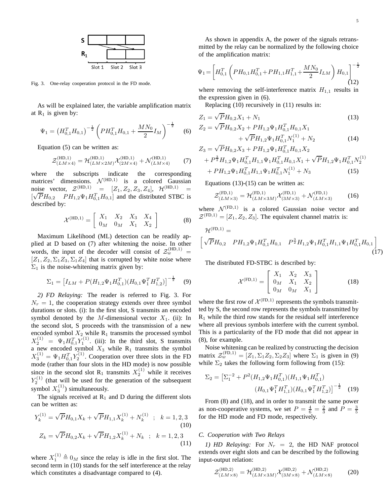

Fig. 3. One-relay cooperation protocol in the FD mode.

As will be explained later, the variable amplification matrix at  $R_1$  is given by:

$$
\Psi_1 = \left(H_{0,1}^T H_{0,1}\right)^{-\frac{1}{2}} \left( PH_{0,1}^T H_{0,1} + \frac{M N_0}{2} I_M\right)^{-\frac{1}{2}} \tag{6}
$$

Equation (5) can be written as:

$$
\mathcal{Z}^{(\text{HD},1)}_{(LM\times4)} = \mathcal{H}^{(\text{HD},1)}_{(LM\times2M)} \mathcal{X}^{(\text{HD},1)}_{(2M\times4)} + \mathcal{N}^{(\text{HD},1)}_{(LM\times4)} \tag{7}
$$

where the subscripts indicate the corresponding matrices' dimensions.  $N^{(HD,1)}$  is a colored Gaussian noise vector,  $Z^{(HD,1)} = [Z_1, Z_2, Z_3, Z_4],$   $\mathcal{H}^{(HD,1)} =$  $[\sqrt{P}H_{0,2} \quad PH_{1,2}\Psi_1 H_{0,1}^T H_{0,1}]$  and the distributed STBC is described by:

$$
\mathcal{X}^{(\text{HD},1)} = \left[ \begin{array}{ccc} X_1 & X_2 & X_3 & X_4 \\ 0_M & 0_M & X_1 & X_2 \end{array} \right] \tag{8}
$$

Maximum Likelihood (ML) detection can be readily applied at D based on (7) after whitening the noise. In other words, the input of the decoder will consist of  $\mathcal{Z}_{w}^{(HD,1)}$  =  $[Z_1, Z_2, \Sigma_1 Z_3, \Sigma_1 Z_4]$  that is corrupted by white noise where  $\Sigma_1$  is the noise-whitening matrix given by:

$$
\Sigma_1 = \left[ I_{LM} + P(H_{1,2}\Psi_1 H_{0,1}^T)(H_{0,1}\Psi_1^T H_{1,2}^T) \right]^{-\frac{1}{2}} \quad (9)
$$

*2) FD Relaying:* The reader is referred to Fig. 3. For  $N_r = 1$ , the cooperation strategy extends over three symbol durations or slots. (i): In the first slot, S transmits an encoded symbol denoted by the M-dimensional vector  $X_1$ . (ii): In the second slot, S proceeds with the transmission of a new encoded symbol  $X_2$  while  $R_1$  transmits the processed symbol  $X_2^{(1)} = \Psi_1 H_{0,1}^T Y_1^{(1)}$ . (iii): In the third slot, S transmits a new encoded symbol  $X_3$  while  $R_1$  transmits the symbol  $X_3^{(1)} = \Psi_1 H_{0,1}^T Y_2^{(1)}$ . Cooperation over three slots in the FD mode (rather than four slots in the HD mode) is now possible since in the second slot R<sub>1</sub> transmits  $X_2^{(1)}$  while it receives  $Y_2^{(1)}$  (that will be used for the generation of the subsequent symbol  $X_3^{(1)}$ ) simultaneously.

The signals received at  $R_1$  and D during the different slots can be written as:

$$
Y_k^{(1)} = \sqrt{P}H_{0,1}X_k + \sqrt{P}H_{1,1}X_k^{(1)} + N_k^{(1)} \; ; \; k = 1,2,3
$$
  
(10)  

$$
Z_k = \sqrt{P}H_{0,2}X_k + \sqrt{P}H_{1,2}X_k^{(1)} + N_k \; ; \; k = 1,2,3
$$
  
(11)

where  $X_1^{(1)} \triangleq 0_M$  since the relay is idle in the first slot. The second term in (10) stands for the self interference at the relay which constitutes a disadvantage compared to (4).

As shown in appendix A, the power of the signals retransmitted by the relay can be normalized by the following choice of the amplification matrix:

$$
\Psi_1 = \left[ H_{0,1}^T \left( PH_{0,1} H_{0,1}^T + PH_{1,1} H_{1,1}^T + \frac{M N_0}{2} I_{LM} \right) H_{0,1} \right]^{-\frac{1}{2}} (12)
$$

where removing the self-interference matrix  $H_{1,1}$  results in the expression given in (6).

Replacing (10) recursively in (11) results in:

$$
Z_1 = \sqrt{P}H_{0,2}X_1 + N_1
$$
\n(13)

$$
Z_2 = \sqrt{P}H_{0,2}X_2 + PH_{1,2}\Psi_1H_{0,1}^TH_{0,1}X_1
$$
  
+  $\sqrt{P}H_{1,2}\Psi_1H_{0,1}^TH_{1}^{(1)} + N_2$  (14)  

$$
Z = \sqrt{P}H_{1,2}\Psi_1H_{0,1}^TH_{1}^T + N_2
$$

$$
Z_{3} = \sqrt{P}H_{0,2}X_{3} + PH_{1,2}\Psi_{1}H_{0,1}^{T}H_{0,1}X_{2}
$$
  
+  $P^{\frac{3}{2}}H_{1,2}\Psi_{1}H_{0,1}^{T}H_{1,1}\Psi_{1}H_{0,1}^{T}H_{0,1}X_{1} + \sqrt{P}H_{1,2}\Psi_{1}H_{0,1}^{T}N_{2}^{(1)}$   
+  $PH_{1,2}\Psi_{1}H_{0,1}^{T}H_{1,1}\Psi_{1}H_{0,1}^{T}N_{1}^{(1)} + N_{3}$  (15)

Equations  $(13)-(15)$  can be written as:

$$
\mathcal{Z}_{(LM\times3)}^{(\text{FD},1)} = \mathcal{H}_{(LM\times3M)}^{(\text{FD},1)} \mathcal{X}_{(3M\times3)}^{(\text{FD},1)} + \mathcal{N}_{(LM\times3)}^{(\text{FD},1)} \tag{16}
$$

where  $\mathcal{N}^{(FD,1)}$  is a colored Gaussian noise vector and  $\mathcal{Z}^{(FD,1)} = [Z_1, Z_2, Z_3]$ . The equivalent channel matrix is:

$$
\mathcal{H}^{(\text{FD},1)} = \left[ \sqrt{P} H_{0,2} \quad PH_{1,2} \Psi_1 H_{0,1}^T H_{0,1} \quad P^{\frac{3}{2}} H_{1,2} \Psi_1 H_{0,1}^T H_{1,1} \Psi_1 H_{0,1}^T H_{0,1} \right] \tag{17}
$$

The distributed FD-STBC is described by:

$$
\mathcal{X}^{(\text{FD},1)} = \left[ \begin{array}{ccc} X_1 & X_2 & X_3 \\ 0_M & X_1 & X_2 \\ 0_M & 0_M & X_1 \end{array} \right] \tag{18}
$$

where the first row of  $\mathcal{X}^{(FD,1)}$  represents the symbols transmitted by S, the second row represents the symbols transmitted by  $R_1$  while the third row stands for the residual self interference where all previous symbols interfere with the current symbol. This is a particularity of the FD mode that did not appear in (8), for example.

Noise whitening can be realized by constructing the decision matrix  $\mathcal{Z}_w^{(\text{FD},1)} = [Z_1, \Sigma_1 Z_2, \Sigma_2 Z_3]$  where  $\Sigma_1$  is given in (9) while  $\Sigma_2$  takes the following form following from (15):

$$
\Sigma_2 = \left[\Sigma_1^{-2} + P^2(H_{1,2}\Psi_1 H_{0,1}^T)(H_{1,1}\Psi_1 H_{0,1}^T)\right] (H_{0,1}\Psi_1^T H_{1,1}^T)(H_{0,1}\Psi_1^T H_{1,2}^T)\right]^{-\frac{1}{2}}
$$
(19)

From (8) and (18), and in order to transmit the same power as non-cooperative systems, we set  $P = \frac{4}{6} = \frac{2}{3}$  and  $P = \frac{3}{5}$ for the HD mode and FD mode, respectively.

#### *C. Cooperation with Two Relays*

*1)* HD Relaying: For  $N_r = 2$ , the HD NAF protocol extends over eight slots and can be described by the following input-output relation:

$$
\mathcal{Z}^{(\text{HD},2)}_{(L M \times 8)} = \mathcal{H}^{(\text{HD},2)}_{(L M \times 3M)} \mathcal{X}^{(\text{HD},2)}_{(3M \times 8)} + \mathcal{N}^{(\text{HD},2)}_{(L M \times 8)} \tag{20}
$$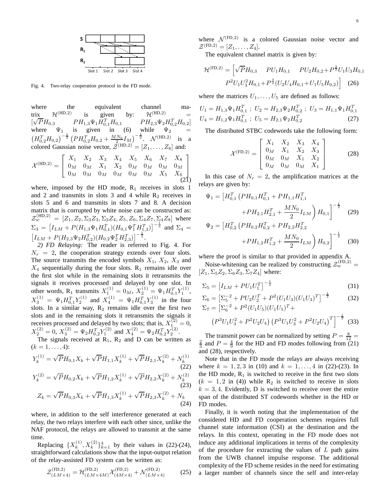

Fig. 4. Two-relay cooperation protocol in the FD mode.

where the equivalent channel ma-<br>trix  $\mathcal{H}^{(HD,2)}$  is given by:  $\mathcal{H}^{(HD,2)}$  = trix  $\mathcal{H}^{(\text{HD},2)}$  is given by:  $\mathcal{H}^{(\text{HD},2)}$  =  $[\sqrt{P}H_{0,3}$   $PH_{1,3}\Psi_1H_{0,1}^TH_{0,1}$   $PH_{2,3}\Psi_2H_{0,2}^TH_{0,2}]$ where  $\Psi_1$  is given in (6) while  $\Psi_2$  =  $\left(H_{0,2}^TH_{0,2}\right)^{-\frac{1}{2}}\left(PH_{0,2}^TH_{0,2}+\frac{MN_0}{2}I_M\right)^{-\frac{1}{2}}$ .  $\mathcal{N}^{(\text{HD},2)}$  is a colored Gaussian noise vector,  $\mathcal{Z}^{(HD,2)} = [Z_1, \ldots, Z_8]$  and:

$$
\mathcal{X}^{(\text{HD},2)} = \left[ \begin{array}{cccccc} X_1 & X_2 & X_3 & X_4 & X_5 & X_6 & X_7 & X_8 \\ 0_M & 0_M & X_1 & X_2 & 0_M & 0_M & 0_M & 0_M \\ 0_M & 0_M & 0_M & 0_M & 0_M & 0_M & X_5 & X_6 \\ 0 & 0_M & 0_M & 0_M & 0_M & X_5 & X_6 \end{array} \right]
$$

where, imposed by the HD mode,  $R_1$  receives in slots 1 and 2 and transmits in slots 3 and 4 while  $R_2$  receives in slots 5 and 6 and transmits in slots 7 and 8. A decision matrix that is corrupted by white noise can be constructed as:  $\mathcal{Z}_{w}^{(HD,2)} = [Z_1, Z_2, \Sigma_3 Z_3, \Sigma_3 Z_4, Z_5, Z_6, \Sigma_4 Z_7, \Sigma_4 Z_8]$  where  $\Sigma_3 = [I_{LM} + P(H_{1,3}\Psi_1H_{0,1}^T)(H_{0,1}\Psi_1^TH_{1,3}^T)]^{-\frac{1}{2}}$  and  $\Sigma_4 =$  $[I_{LM} + P(H_{2,3}\Psi_2H_{0,2}^T)(H_{0,2}\Psi_2^TH_{2,3}^T)]^{-\frac{1}{2}}.$ 

*2) FD Relaying:* The reader is referred to Fig. 4. For  $N_r = 2$ , the cooperation strategy extends over four slots. The source transmits the encoded symbols  $X_1$ ,  $X_2$ ,  $X_3$  and  $X_4$  sequentially during the four slots.  $R_1$  remains idle over the first slot while in the remaining slots it retransmits the signals it receives processed and delayed by one slot. In other words, R<sub>1</sub> transmits  $X_1^{(1)} = 0_M$ ,  $X_2^{(1)} = \Psi_1 H_{0,1}^T Y_1^{(1)}$ ,  $X_3^{(1)} = \Psi_1 H_{0,1}^T Y_2^{(1)}$  and  $X_4^{(1)} = \Psi_1 H_{0,1}^T Y_3^{(1)}$  in the four slots. In a similar way,  $R_2$  remains idle over the first two slots and in the remaining slots it retransmits the signals it receives processed and delayed by two slots; that is,  $X_{1}^{(2)} = 0$ ,  $X_2^{(2)} = 0$ ,  $X_3^{(2)} = \Psi_2 H_{0,2}^T Y_1^{(2)}$  and  $X_4^{(2)} = \Psi_2 H_{0,2}^T Y_2^{(2)}$ .

The signals received at  $R_1$ ,  $R_2$  and D can be written as  $(k = 1, \ldots, 4)$ :

$$
Y_k^{(1)} = \sqrt{P}H_{0,1}X_k + \sqrt{P}H_{1,1}X_k^{(1)} + \sqrt{P}H_{2,1}X_k^{(2)} + N_k^{(1)}
$$
\n(22)

$$
Y_k^{(2)} = \sqrt{P}H_{0,2}X_k + \sqrt{P}H_{1,2}X_k^{(1)} + \sqrt{P}H_{2,2}X_k^{(2)} + N_k^{(2)}
$$
\n(23)\n
$$
Z_k = \sqrt{P}H_{0,3}X_k + \sqrt{P}H_{1,3}X_k^{(1)} + \sqrt{P}H_{2,3}X_k^{(2)} + N_k
$$
\n(24)

where, in addition to the self interference generated at each relay, the two relays interfere with each other since, unlike the NAF protocol, the relays are allowed to transmit at the same time.

Replacing  $\{X_k^{(1)}\}$  $\{k^{(1)}, X_k^{(2)}\}_{k=1}^4$  by their values in (22)-(24), straightforward calculations show that the input-output relation of the relay-assisted FD system can be written as:

$$
\mathcal{Z}_{(LM\times4)}^{(\text{FD},2)} = \mathcal{H}_{(LM\times4M)}^{(\text{FD},2)} \mathcal{X}_{(4M\times4)}^{(\text{FD},2)} + \mathcal{N}_{(LM\times4)}^{(\text{FD},2)} \tag{25}
$$

where  $\mathcal{N}^{(FD,2)}$  is a colored Gaussian noise vector and  $\mathcal{Z}^{(\text{FD},2)} = [Z_1, \ldots, Z_4].$ 

The equivalent channel matrix is given by:

$$
\mathcal{H}^{(\text{FD},2)} = \left[ \sqrt{P} H_{0,3} \quad PU_1 H_{0,1} \quad PU_2 H_{0,2} + P^{\frac{3}{2}} U_1 U_3 H_{0,1} \right. \n P^2 U_1 U_3^2 H_{0,1} + P^{\frac{3}{2}} (U_2 U_4 H_{0,1} + U_1 U_5 H_{0,2}) \right] \tag{26}
$$

where the matrices  $U_1, \ldots, U_5$  are defined as follows:

$$
U_1 = H_{1,3} \Psi_1 H_{0,1}^T ; U_2 = H_{2,3} \Psi_2 H_{0,2}^T ; U_3 = H_{1,1} \Psi_1 H_{0,1}^T
$$
  

$$
U_4 = H_{1,2} \Psi_1 H_{0,1}^T ; U_5 = H_{2,1} \Psi_2 H_{0,2}^T
$$
 (27)

The distributed STBC codewords take the following form:

$$
\mathcal{X}^{(\text{FD},2)} = \begin{bmatrix} X_1 & X_2 & X_3 & X_4 \\ 0_M & X_1 & X_2 & X_3 \\ 0_M & 0_M & X_1 & X_2 \\ 0_M & 0_M & 0_M & X_1 \end{bmatrix}
$$
 (28)

In this case of  $N_r = 2$ , the amplification matrices at the relays are given by:

$$
\Psi_1 = \left[ H_{0,1}^T \left( PH_{0,1} H_{0,1}^T + PH_{1,1} H_{1,1}^T \right) + PH_{2,1} H_{2,1}^T + \frac{MN_0}{2} I_{LM} \right) H_{0,1} \right]^{-\frac{1}{2}} \tag{29}
$$
\n
$$
\Psi_2 = \left[ H_{0,2}^T \left( PH_{0,2} H_{0,2}^T + PH_{2,2} H_{2,2}^T \right)
$$

$$
- \left[ H_{0,2} \left( I_{0,2} H_{0,2} + I_{1,2} H_{2,2} H_{2,2} \right) + P H_{1,2} H_{1,2}^T + \frac{M N_0}{2} I_{LM} \right) H_{0,2} \bigg]^{-\frac{1}{2}} \tag{30}
$$

where the proof is similar to that provided in appendix A.

Noise-whitening can be realized by constructing  $\mathcal{Z}_{w}^{(FD,2)}$  =  $[Z_1, \Sigma_5 Z_2, \Sigma_6 Z_3, \Sigma_7 Z_4]$  where:

$$
\Sigma_5 = \left[I_{LM} + PU_1U_1^T\right]^{-\frac{1}{2}}
$$
\n(31)

$$
\Sigma_6 = \left[\Sigma_5^{-2} + PU_2 U_2^T + P^2 (U_1 U_3)(U_1 U_3)^T\right]^{-\frac{1}{2}}
$$
\n
$$
\Sigma_7 = \left[\Sigma_6^{-2} + P^2 (U_1 U_5)(U_1 U_5)^T + \right]
$$
\n(32)

$$
V = \left[\Sigma_6^{-2} + P^2 (U_1 U_5)(U_1 U_5)^T + (P^3 U_1 U_3^2 + P^2 U_2 U_4) (P^3 U_1 U_3^2 + P^2 U_2 U_4)^T\right]^{-\frac{1}{2}}
$$
(33)

The transmit power can be normalized by setting  $P = \frac{8}{12}$  $\frac{2}{3}$  and  $P = \frac{4}{9}$  for the HD and FD modes following from (21) and (28), respectively.

Note that in the FD mode the relays are always receiving where  $k = 1, 2, 3$  in (10) and  $k = 1, ..., 4$  in (22)-(23). In the HD mode,  $R_1$  is switched to receive in the first two slots  $(k = 1, 2 \text{ in (4)})$  while  $R_2$  is switched to receive in slots  $k = 3, 4$ . Evidently, D is switched to receive over the entire span of the distributed ST codewords whether in the HD or FD modes.

Finally, it is worth noting that the implementation of the considered HD and FD cooperation schemes requires full channel state information (CSI) at the destination and the relays. In this context, operating in the FD mode does not induce any additional implications in terms of the complexity of the procedure for extracting the values of  $L$  path gains from the UWB channel impulse response. The additional complexity of the FD scheme resides in the need for estimating a larger number of channels since the self and inter-relay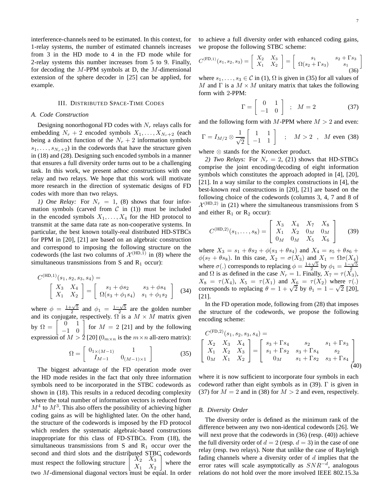interference-channels need to be estimated. In this context, for 1-relay systems, the number of estimated channels increases from 3 in the HD mode to 4 in the FD mode while for 2-relay systems this number increases from 5 to 9. Finally, for decoding the  $M$ -PPM symbols at D, the  $M$ -dimensional extension of the sphere decoder in [25] can be applied, for example.

## III. DISTRIBUTED SPACE-TIME CODES

# *A. Code Construction*

Designing nonorthogonal FD codes with  $N_r$  relays calls for embedding  $N_r + 2$  encoded symbols  $X_1, \ldots, X_{N_r+2}$  (each being a distinct function of the  $N_r + 2$  information symbols  $s_1, \ldots, s_{N_r+2}$ ) in the codewords that have the structure given in (18) and (28). Designing such encoded symbols in a manner that ensures a full diversity order turns out to be a challenging task. In this work, we present adhoc constructions with one relay and two relays. We hope that this work will motivate more research in the direction of systematic designs of FD codes with more than two relays.

*1) One Relay:* For  $N_r = 1$ , (8) shows that four information symbols (carved from  $C$  in (1)) must be included in the encoded symbols  $X_1, \ldots, X_4$  for the HD protocol to transmit at the same data rate as non-cooperative systems. In particular, the best known totally-real distributed HD-STBCs for PPM in [20], [21] are based on an algebraic construction and correspond to imposing the following structure on the codewords (the last two columns of  $\mathcal{X}^{(HD,1)}$  in (8) where the simultaneous transmissions from S and  $R_1$  occur):

$$
C^{(\text{HD},1)}(s_1, s_2, s_3, s_4) = \begin{bmatrix} X_3 & X_4 \\ X_1 & X_2 \end{bmatrix} = \begin{bmatrix} s_1 + \phi s_2 & s_3 + \phi s_4 \\ \Omega(s_3 + \phi_1 s_4) & s_1 + \phi_1 s_2 \end{bmatrix}
$$
 (34)

where  $\phi = \frac{1+\sqrt{5}}{2}$  and  $\phi_1 = \frac{1-\sqrt{5}}{2}$  are the golden number and its conjugate, respectively.  $\Omega$  is a  $M \times M$  matrix given by  $\Omega = \begin{bmatrix} 0 & 1 \\ -1 & 0 \end{bmatrix}$  for  $M = 2$  [21] and by the following expression of  $M > 2$  [20]  $(0_{m \times n}$  is the  $m \times n$  all-zero matrix):

$$
\Omega = \begin{bmatrix} 0_{1 \times (M-1)} & 1 \\ I_{M-1} & 0_{(M-1) \times 1} \end{bmatrix}
$$
 (35)

The biggest advantage of the FD operation mode over the HD mode resides in the fact that only three information symbols need to be incorporated in the STBC codewords as shown in (18). This results in a reduced decoding complexity where the total number of information vectors is reduced from  $M<sup>4</sup>$  to  $M<sup>3</sup>$ . This also offers the possibility of achieving higher coding gains as will be highlighted later. On the other hand, the structure of the codewords is imposed by the FD protocol which renders the systematic algebraic-based constructions inappropriate for this class of FD-STBCs. From (18), the simultaneous transmissions from S and  $R_1$  occur over the second and third slots and the distributed STBC codewords must respect the following structure  $X_2$   $X_3$  $X_1$   $X_2$ 1 where the two  $M$ -dimensional diagonal vectors must be equal. In order to achieve a full diversity order with enhanced coding gains, we propose the following STBC scheme:

$$
C^{(\text{FD},1)}(s_1, s_2, s_3) = \begin{bmatrix} X_2 & X_3 \ X_1 & X_2 \end{bmatrix} = \begin{bmatrix} s_1 & s_2 + \Gamma s_3 \\ \Omega(s_2 + \Gamma s_3) & s_1 \end{bmatrix}
$$
(36)

where  $s_1, \ldots, s_3 \in \mathcal{C}$  in (1),  $\Omega$  is given in (35) for all values of M and  $\Gamma$  is a  $M \times M$  unitary matrix that takes the following form with 2-PPM:

$$
\Gamma = \left[ \begin{array}{cc} 0 & 1 \\ -1 & 0 \end{array} \right] ; \quad M = 2 \tag{37}
$$

and the following form with  $M$ -PPM where  $M > 2$  and even:

$$
\Gamma = I_{M/2} \otimes \frac{1}{\sqrt{2}} \left[ \begin{array}{cc} 1 & 1 \\ -1 & 1 \end{array} \right] \quad ; \quad M > 2 \quad , \quad M \text{ even (38)}
$$

where ⊗ stands for the Kronecker product.

*2) Two Relays:* For  $N_r = 2$ , (21) shows that HD-STBCs comprise the joint encoding/decoding of eight information symbols which constitutes the approach adopted in [4], [20], [21]. In a way similar to the complex constructions in [4], the best-known real constructions in [20], [21] are based on the following choice of the codewords (columns 3, 4, 7 and 8 of  $\mathcal{X}^{(HD,2)}$  in (21) where the simultaneous transmissions from S and either  $R_1$  or  $R_2$  occur):

$$
C^{(\text{HD},2)}(s_1,\ldots,s_8) = \left[ \begin{array}{ccc} X_3 & X_4 & X_7 & X_8 \\ X_1 & X_2 & 0_M & 0_M \\ 0_M & 0_M & X_5 & X_6 \end{array} \right] \tag{39}
$$

where  $X_3 = s_1 + \theta s_2 + \phi(s_3 + \theta s_4)$  and  $X_4 = s_5 + \theta s_6 +$  $\phi(s_7 + \theta s_8)$ . In this case,  $X_2 = \sigma(X_3)$  and  $X_1 = \Omega \sigma(X_4)$ where  $\sigma(.)$  corresponds to replacing  $\phi = \frac{1+\sqrt{5}}{2}$  by  $\phi_1 = \frac{1-\sqrt{5}}{2}$ and  $\Omega$  is as defined in the case  $N_r = 1$ . Finally,  $X_7 = \tau(\overline{X_3})$ ,  $X_8 = \tau(X_4)$ ,  $X_5 = \tau(X_1)$  and  $X_6 = \tau(X_2)$  where  $\tau(.)$ corresponds to replacing  $\theta = 1 + \sqrt{2}$  by  $\theta_1 = 1 - \sqrt{2}$  [20], [21].

In the FD operation mode, following from (28) that imposes the structure of the codewords, we propose the following encoding scheme:

$$
C^{(\text{FD},2)}(s_1, s_2, s_3, s_4) =
$$
\n
$$
\begin{bmatrix}\nX_2 & X_3 & X_4 \\
X_1 & X_2 & X_3 \\
0_M & X_1 & X_2\n\end{bmatrix} = \begin{bmatrix}\ns_3 + \Gamma s_4 & s_2 & s_1 + \Gamma s_3 \\
s_1 + \Gamma s_2 & s_3 + \Gamma s_4 & s_2 \\
0_M & s_1 + \Gamma s_2 & s_3 + \Gamma s_4\n\end{bmatrix}
$$
\n(40)

where it is now sufficient to incorporate four symbols in each codeword rather than eight symbols as in  $(39)$ . Γ is given in (37) for  $M = 2$  and in (38) for  $M > 2$  and even, respectively.

## *B. Diversity Order*

The diversity order is defined as the minimum rank of the difference between any two non-identical codewords [26]. We will next prove that the codewords in (36) (resp. (40)) achieve the full diversity order of  $d = 2$  (resp.  $d = 3$ ) in the case of one relay (resp. two relays). Note that unlike the case of Rayleigh fading channels where a diversity order of  $d$  implies that the error rates will scale asymptotically as  $SNR^{-d}$ , analogous relations do not hold over the more involved IEEE 802.15.3a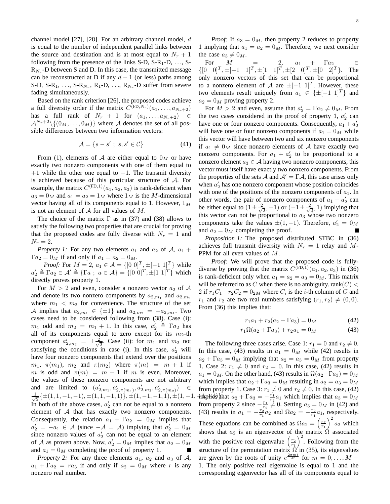channel model [27], [28]. For an arbitrary channel model, d is equal to the number of independent parallel links between the source and destination and is at most equal to  $N_r + 1$ following from the presence of the links  $S-D$ ,  $S-R_1-D$ , ...,  $S-D$  $R_{N_r}$ -D between S and D. In this case, the transmitted message can be reconstructed at D if any  $d-1$  (or less) paths among S-D, S-R<sub>1</sub>, ..., S-R<sub>N<sub>r</sub></sub>, R<sub>1</sub>-D, ..., R<sub>N<sub>r</sub></sub>-D suffer from severe fading simultaneously.

Based on the rank criterion [26], the proposed codes achieve a full diversity order if the matrix  $C^{(\text{FD},N_r)}(a_1,\ldots,a_{N_r+2})$ has a full rank of  $N_r + 1$  for  $(a_1, \ldots, a_{N_r+2}) \in$  $\mathcal{A}^{N_r+2} \setminus \{(0_M, \ldots, 0_M)\}\$  where A denotes the set of all possible differences between two information vectors:

$$
\mathcal{A} = \{s - s' \; ; \; s, s' \in \mathcal{C}\}\tag{41}
$$

From (1), elements of A are either equal to  $0_M$  or have exactly two nonzero components with one of them equal to  $+1$  while the other one equal to  $-1$ . The transmit diversity is achieved because of this particular structure of A. For example, the matrix  $C^{(FD,1)}(a_1, a_2, a_3)$  is rank-deficient when  $a_3 = 0_M$  and  $a_1 = a_2 = 1_M$  where  $1_M$  is the M-dimensional vector having all of its components equal to 1. However,  $1_M$ is not an element of  $A$  for all values of  $M$ .

The choice of the matrix  $\Gamma$  as in (37) and (38) allows to satisfy the following two properties that are crucial for proving that the proposed codes are fully diverse with  $N_r = 1$  and  $N_r = 2$ .

*Property 1:* For any two elements  $a_1$  and  $a_2$  of  $A$ ,  $a_1$  +  $\Gamma a_2 = 0_M$  if and only if  $a_1 = a_2 = 0_M$ .

*Proof:* For  $M = 2$ ,  $a_1 \in \mathcal{A} = \{ [0 \ 0]^T, \pm [-1 \ 1]^T \}$  while  $a'_2 \triangleq \Gamma a_2 \in \mathcal{A}' \triangleq \{\Gamma a \; ; \; a \in \mathcal{A}\} = \{[0\;0]^T, \pm[1\;1]^T\}$  which directly proves property 1.

For  $M > 2$  and even, consider a nonzero vector  $a_2$  of A and denote its two nonzero components by  $a_{2,m_1}$  and  $a_{2,m_2}$ where  $m_1 < m_2$  for convenience. The structure of the set A implies that  $a_{2,m_1} \in {\pm 1}$  and  $a_{2,m_2} = -a_{2,m_1}$ . Two cases need to be considered following from (38). Case (i):  $m_1$  odd and  $m_2 = m_1 + 1$ . In this case,  $a'_2 \triangleq \Gamma a_2$  has all of its components equal to zero except for its  $m_2$ -th component  $a'_{2,m_2} = \pm \frac{2}{\sqrt{2}}$  $\frac{1}{2}$ . Case (ii): for  $m_1$  and  $m_2$  not satisfying the conditions in case (i). In this case,  $a'_2$  will have four nonzero components that extend over the positions  $m_1$ ,  $\pi(m_1)$ ,  $m_2$  and  $\pi(m_2)$  where  $\pi(m) = m + 1$  if m is odd and  $\pi(m) = m - 1$  if m is even. Moreover, the values of these nonzero components are not arbitrary and are limited to  $(a'_{2,m_1}, a'_{2,\pi(m_1)}, a'_{2,m_2}, a'_{2,\pi(m_2)}) \in$ √ 1  $\frac{1}{2} \{ \pm (1,1,-1,-1), \pm (1,1,-1,1) \}, \pm (1,-1,-1,1), \pm (1,-1,$   $\text{\textbf{inhplids}})$ ll In both of the above cases,  $a'_2$  can not be equal to a nonzero element of  $A$  that has exactly two nonzero components. Consequently, the relation  $a_1 + \Gamma a_2 = 0_M$  implies that  $a'_2 = -a_1 \in \mathcal{A}$  (since  $-\mathcal{A} = \mathcal{A}$ ) implying that  $a'_2 = 0_M$ since nonzero values of  $a'_2$  can not be equal to an element of A as proven above. Now,  $a'_2 = 0_M$  implies that  $a_2 = 0_M$ and  $a_1 = 0_M$  completing the proof of property 1.

*Property 2:* For any three elements  $a_1$ ,  $a_2$  and  $a_3$  of A,  $a_1 + \Gamma a_2 = ra_3$  if and only if  $a_2 = 0_M$  where r is any nonzero real number.

*Proof:* If  $a_3 = 0_M$ , then property 2 reduces to property 1 implying that  $a_1 = a_2 = 0_M$ . Therefore, we next consider the case  $a_3 \neq 0_M$ .

For  $M = 2$ ,  $a_1 + \Gamma a_2 \in$  $\{ [0 \ 0]^T, \pm [-1 \ 1]^T, \pm [1 \ 1]^T, \pm [2 \ 0]^T, \pm [0 \ 2]^T \}.$  The only nonzero vectors of this set that can be proportional to a nonzero element of A are  $\pm[-1 \; 1]^T$ . However, these two elements result uniquely from  $a_1 \in \{\pm [-1, 1]^T\}$  and  $a_2 = 0_M$  proving property 2.

For  $M > 2$  and even, assume that  $a'_2 = \Gamma a_2 \neq 0_M$ . From the two cases considered in the proof of property 1,  $a'_2$  can have one or four nonzero components. Consequently,  $a_1 + a'_2$ will have one or four nonzero components if  $a_1 = 0_M$  while this vector will have between two and six nonzero components if  $a_1 \neq 0_M$  since nonzero elements of A have exactly two nonzero components. For  $a_1 + a'_2$  to be proportional to a nonzero element  $a_3 \in A$  having two nonzero components, this vector must itself have exactly two nonzero components. From the properties of the sets A and  $A' = \Gamma A$ , this case arises only when  $a'_2$  has one nonzero component whose position coincides with one of the positions of the nonzero components of  $a_1$ . In other words, the pair of nonzero components of  $a_1 + a'_2$  can be either equal to  $(1 \pm \frac{2}{\sqrt{2}})$  $\frac{1}{2}$ , -1) or  $\left(-1 \pm \frac{2}{\sqrt{2}}\right)$  $(\frac{1}{2}, 1)$  implying that this vector can not be proportional to  $a_3$  whose two nonzero components take the values  $\pm(1,-1)$ . Therefore,  $a'_2 = 0_M$ and  $a_2 = 0_M$  completing the proof.

*Proposition 1:* The proposed distributed STBC in (36) achieves full transmit diversity with  $N_r = 1$  relay and M-PPM for all even values of M.

*Proof:* We will prove that the proposed code is fullydiverse by proving that the matrix  $C^{(\text{FD},1)}(a_1, a_2, a_3)$  in (36) is rank-deficient only when  $a_1 = a_2 = a_3 = 0_M$ . This matrix will be referred to as C when there is no ambiguity. rank( $C$ ) < 2 if  $r_1C_1 + r_2C_2 = 0_{2M}$  where  $C_i$  is the *i*-th column of C and  $r_1$  and  $r_2$  are two real numbers satisfying  $(r_1, r_2) \neq (0, 0)$ . From (36) this implies that:

$$
r_1 a_1 + r_2 (a_2 + \Gamma a_3) = 0_M \tag{42}
$$

$$
r_1 \Omega(a_2 + \Gamma a_3) + r_2 a_1 = 0_M \tag{43}
$$

The following three cases arise. Case 1:  $r_1 = 0$  and  $r_2 \neq 0$ . In this case, (43) results in  $a_1 = 0_M$  while (42) results in  $a_2 + \Gamma a_3 = 0_M$  implying that  $a_2 = a_3 = 0_M$  from property 1. Case 2:  $r_1 \neq 0$  and  $r_2 = 0$ . In this case, (42) results in  $a_1 = 0_M$ . On the other hand, (43) results in  $\Omega(a_2 + \Gamma a_3) = 0_M$ which implies that  $a_2 + \Gamma a_3 = 0_M$  resulting in  $a_2 = a_3 = 0_M$ from property 1. Case 3:  $r_1 \neq 0$  and  $r_2 \neq 0$ . In this case, (42) in the philos state  $a_2 + \Gamma a_3 = -\frac{r_1}{r_2} a_1$  which implies that  $a_3 = 0_M$ from property 2 since  $-\frac{r_1}{r_2} \neq 0$ . Setting  $a_3 = 0_M$  in (42) and (43) results in  $a_1 = -\frac{r_2}{r_1} a_2$  and  $\Omega a_2 = -\frac{r_2}{r_1} a_1$ , respectively. These equations can be combined as  $\Omega a_2 = \left(\frac{r_2}{r_1}\right)^2 a_2$  which shows that  $a_2$  is an eigenvector of the matrix  $\Omega$  associated with the positive real eigenvalue  $\left(\frac{r_2}{r_1}\right)^2$ . Following from the structure of the permutation matrix  $\Omega$  in (35), its eigenvalues are given by the roots of unity  $e^{\frac{2\pi m t}{M}}$  for  $m = 0, \ldots, M -$ 1. The only positive real eigenvalue is equal to 1 and the corresponding eigenvector has all of its components equal to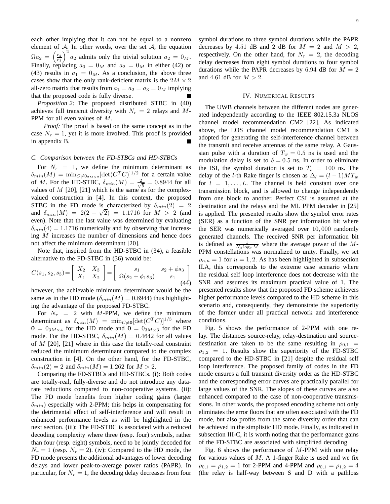each other implying that it can not be equal to a nonzero element of  $\mathcal{A}$ . In other words, over the set  $\mathcal{A}$ , the equation  $\Omega a_2 = \left(\frac{r_2}{r_1}\right)^2 a_2$  admits only the trivial solution  $a_2 = 0_M$ . Finally, replacing  $a_3 = 0_M$  and  $a_2 = 0_M$  in either (42) or (43) results in  $a_1 = 0_M$ . As a conclusion, the above three cases show that the only rank-deficient matrix is the  $2M \times 2$ all-zero matrix that results from  $a_1 = a_2 = a_3 = 0_M$  implying that the proposed code is fully diverse.

*Proposition 2:* The proposed distributed STBC in (40) achieves full transmit diversity with  $N_r = 2$  relays and M-PPM for all even values of M.

*Proof:* The proof is based on the same concept as in the case  $N_r = 1$ , yet it is more involved. This proof is provided in appendix B.

#### *C. Comparison between the FD-STBCs and HD-STBCs*

For  $N_r = 1$ , we define the minimum determinant as  $\delta_{min}(M) = \min_{C \neq 0_{2M} \times 2} [\det(C^T C)]^{1/2}$  for a certain value of M. For the HD-STBC,  $\delta_{min}(M) = \frac{2}{\sqrt{3}}$  $\frac{1}{5}$  = 0.8944 for all values of  $M$  [20], [21] which is the same as for the complexvalued construction in [4]. In this context, the proposed STBC in the FD mode is characterized by  $\delta_{min}(2) = 2$ and  $\delta_{min}(M) = 2(2 - \sqrt{2}) = 1.1716$  for  $M > 2$  (and even). Note that the last value was determined by evaluating  $\delta_{min}(4) = 1.1716$  numerically and by observing that increasing M increases the number of dimensions and hence does not affect the minimum determinant [20].

Note that, inspired from the HD-STBC in (34), a feasible alternative to the FD-STBC in (36) would be:

$$
C(s_1, s_2, s_3) = \begin{bmatrix} X_2 & X_3 \ X_1 & X_2 \end{bmatrix} = \begin{bmatrix} s_1 & s_2 + \phi s_3 \ \Omega(s_2 + \phi_1 s_3) & s_1 \end{bmatrix}
$$
(44)

however, the achievable minimum determinant would be the same as in the HD mode ( $\delta_{min}(M) = 0.8944$ ) thus highlighting the advantage of the proposed FD-STBC.

For  $N_r = 2$  with M-PPM, we define the minimum determinant as  $\delta_{min}(M) = \min_{C \neq 0} [\det(C^T C)]^{1/3}$  where  $0 = 0_{3M \times 4}$  for the HD mode and  $0 = 0_{3M \times 3}$  for the FD mode. For the HD-STBC,  $\delta_{min}(M) = 0.4642$  for all values of  $M$  [20], [21] where in this case the totally-real constraint reduced the minimum determinant compared to the complex construction in [4]. On the other hand, for the FD-STBC,  $\delta_{min}(2) = 2$  and  $\delta_{min}(M) = 1.262$  for  $M > 2$ .

Comparing the FD-STBCs and HD-STBCs. (i): Both codes are totally-real, fully-diverse and do not introduce any datarate reductions compared to non-cooperative systems. (ii): The FD mode benefits from higher coding gains (larger  $\delta_{min}$ ) especially with 2-PPM; this helps in compensating for the detrimental effect of self-interference and will result in enhanced performance levels as will be highlighted in the next section. (iii): The FD-STBC is associated with a reduced decoding complexity where three (resp. four) symbols, rather than four (resp. eight) symbols, need to be jointly decoded for  $N_r = 1$  (resp.  $N_r = 2$ ). (iv): Compared to the HD mode, the FD mode presents the additional advantages of lower decoding delays and lower peak-to-average power ratios (PAPR). In particular, for  $N_r = 1$ , the decoding delay decreases from four symbol durations to three symbol durations while the PAPR decreases by 4.51 dB and 2 dB for  $M = 2$  and  $M > 2$ , respectively. On the other hand, for  $N_r = 2$ , the decoding delay decreases from eight symbol durations to four symbol durations while the PAPR decreases by 6.94 dB for  $M = 2$ and 4.61 dB for  $M > 2$ .

## IV. NUMERICAL RESULTS

The UWB channels between the different nodes are generated independently according to the IEEE 802.15.3a NLOS channel model recommendation CM2 [22]. As indicated above, the LOS channel model recommendation CM1 is adopted for generating the self-interference channel between the transmit and receive antennas of the same relay. A Gaussian pulse with a duration of  $T_w = 0.5$  ns is used and the modulation delay is set to  $\delta = 0.5$  ns. In order to eliminate the ISI, the symbol duration is set to  $T_s = 100$  ns. The delay of the l-th Rake finger is chosen as  $\Delta_l = (l-1)MT_w$ for  $l = 1, \ldots, L$ . The channel is held constant over one transmission block, and is allowed to change independently from one block to another. Perfect CSI is assumed at the destination and the relays and the ML PPM decoder in [25] is applied. The presented results show the symbol error rates (SER) as a function of the SNR per information bit where the SER was numerically averaged over 10, 000 randomly generated channels. The received SNR per information bit is defined as  $\frac{1}{N_0 \log_2 M}$  where the average power of the M-PPM constellations was normalized to unity. Finally, we set  $\rho_{n,n} = 1$  for  $n = 1, 2$ . As has been highlighted in subsection II.A, this corresponds to the extreme case scenario where the residual self loop interference does not decrease with the SNR and assumes its maximum practical value of 1. The presented results show that the proposed FD scheme achievers higher performance levels compared to the HD scheme in this scenario and, consequently, they demonstrate the superiority of the former under all practical network and interference conditions.

Fig. 5 shows the performance of 2-PPM with one relay. The distances source-relay, relay-destination and sourcedestination are taken to be the same resulting in  $\rho_{0,1}$  =  $\rho_{1,2}$  = 1. Results show the superiority of the FD-STBC compared to the HD-STBC in [21] despite the residual self loop interference. The proposed family of codes in the FD mode ensures a full transmit diversity order as the HD-STBC and the corresponding error curves are practically parallel for large values of the SNR. The slopes of these curves are also enhanced compared to the case of non-cooperative transmissions. In other words, the proposed encoding scheme not only eliminates the error floors that are often associated with the FD mode, but also profits from the same diversity order that can be achieved in the simplistic HD mode. Finally, as indicated in subsection III-C, it is worth noting that the performance gains of the FD-STBC are associated with simplified decoding

Fig. 6 shows the performance of  $M$ -PPM with one relay for various values of  $M$ . A 1-finger Rake is used and we fix  $\rho_{0,1} = \rho_{1,2} = 1$  for 2-PPM and 4-PPM and  $\rho_{0,1} = \rho_{1,2} = 4$ (the relay is half-way between S and D with a pathloss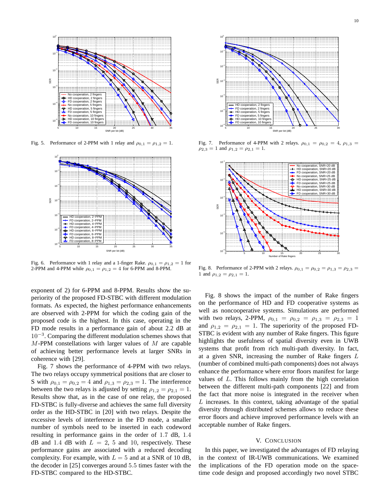

Fig. 5. Performance of 2-PPM with 1 relay and  $\rho_{0,1} = \rho_{1,2} = 1$ .



Fig. 6. Performance with 1 relay and a 1-finger Rake.  $\rho_{0,1} = \rho_{1,2} = 1$  for 2-PPM and 4-PPM while  $\rho_{0,1} = \rho_{1,2} = 4$  for 6-PPM and 8-PPM.

exponent of 2) for 6-PPM and 8-PPM. Results show the superiority of the proposed FD-STBC with different modulation formats. As expected, the highest performance enhancements are observed with 2-PPM for which the coding gain of the proposed code is the highest. In this case, operating in the FD mode results in a performance gain of about 2.2 dB at 10−<sup>3</sup> . Comparing the different modulation schemes shows that  $M$ -PPM constellations with larger values of  $M$  are capable of achieving better performance levels at larger SNRs in coherence with [29].

Fig. 7 shows the performance of 4-PPM with two relays. The two relays occupy symmetrical positions that are closer to S with  $\rho_{0,1} = \rho_{0,2} = 4$  and  $\rho_{1,3} = \rho_{2,3} = 1$ . The interference between the two relays is adjusted by setting  $\rho_{1,2} = \rho_{2,1} = 1$ . Results show that, as in the case of one relay, the proposed FD-STBC is fully-diverse and achieves the same full diversity order as the HD-STBC in [20] with two relays. Despite the excessive levels of interference in the FD mode, a smaller number of symbols need to be inserted in each codeword resulting in performance gains in the order of 1.7 dB, 1.4 dB and 1.4 dB with  $L = 2, 5$  and 10, respectively. These performance gains are associated with a reduced decoding complexity. For example, with  $L = 5$  and at a SNR of 10 dB, the decoder in [25] converges around 5.5 times faster with the FD-STBC compared to the HD-STBC.



Fig. 7. Performance of 4-PPM with 2 relays.  $\rho_{0,1} = \rho_{0,2} = 4$ ,  $\rho_{1,3} =$  $\rho_{2,3} = 1$  and  $\rho_{1,2} = \rho_{2,1} = 1$ .



Fig. 8. Performance of 2-PPM with 2 relays.  $\rho_{0,1} = \rho_{0,2} = \rho_{1,3} = \rho_{2,3}$ 1 and  $\rho_{1,2} = \rho_{2,1} = 1$ .

Fig. 8 shows the impact of the number of Rake fingers on the performance of HD and FD cooperative systems as well as noncooperative systems. Simulations are performed with two relays, 2-PPM,  $\rho_{0,1} = \rho_{0,2} = \rho_{1,3} = \rho_{2,3} = 1$ and  $\rho_{1,2} = \rho_{2,1} = 1$ . The superiority of the proposed FD-STBC is evident with any number of Rake fingers. This figure highlights the usefulness of spatial diversity even in UWB systems that profit from rich multi-path diversity. In fact, at a given SNR, increasing the number of Rake fingers  $L$ (number of combined multi-path components) does not always enhance the performance where error floors manifest for large values of L. This follows mainly from the high correlation between the different multi-path components [22] and from the fact that more noise is integrated in the receiver when  $L$  increases. In this context, taking advantage of the spatial diversity through distributed schemes allows to reduce these error floors and achieve improved performance levels with an acceptable number of Rake fingers.

#### V. CONCLUSION

In this paper, we investigated the advantages of FD relaying in the context of IR-UWB communications. We examined the implications of the FD operation mode on the spacetime code design and proposed accordingly two novel STBC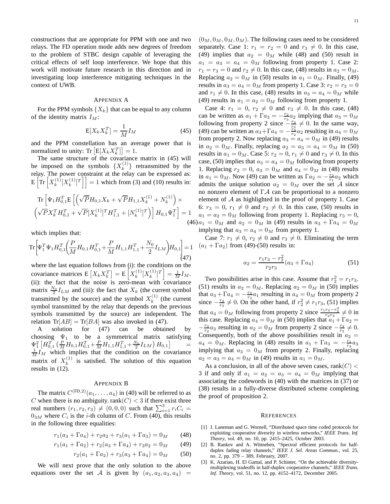constructions that are appropriate for PPM with one and two relays. The FD operation mode adds new degrees of freedom to the problem of STBC design capable of leveraging the critical effects of self loop interference. We hope that this work will motivate future research in this direction and in investigating loop interference mitigating techniques in the context of UWB.

## APPENDIX A

For the PPM symbols  $\{X_k\}$  that can be equal to any column of the identity matrix  $I_M$ :

$$
E[X_k X_k^T] = \frac{1}{M} I_M \tag{45}
$$

and the PPM constellation has an average power that is normalized to unity: Tr  $[E[X_k X_k^T]] = 1$ .

The same structure of the covariance matrix in (45) will be imposed on the symbols  $\{X_k^{(1)}\}$  $\{k^{(1)}\}$  retransmitted by the relay. The power constraint at the relay can be expressed as:  $\mathrm{E}\left[\mathrm{Tr}\left[X_{k}^{(1)}\right]\right]$  $\binom{1}{k} [X^{(1)}_k$  $\begin{bmatrix} (1) \ K \end{bmatrix}$  = 1 which from (3) and (10) results in:

$$
\begin{aligned} & \text{Tr}\left[\Psi_{1}H_{0,1}^{T}\mathbf{E}\left[\left(\sqrt{P}H_{0,1}X_{k}+\sqrt{P}H_{1,1}X_{k}^{(1)}+N_{k}^{(1)}\right)\times\right.\right.\\ & \left. \left(\sqrt{P}X_{k}^{T}H_{0,1}^{T}+\sqrt{P}[X_{k}^{(1)}]^{T}H_{1,1}^{T}+[N_{k}^{(1)}]^{T}\right)\right]H_{0,1}\Psi_{1}^{T}\right]=1\\ & \qquad \qquad (4 \end{aligned}
$$

which implies that:

$$
\operatorname{Tr}\left[\Psi_1^T\Psi_1H_{0,1}^T\left(\frac{P}{M}H_{0,1}H_{0,1}^T+\frac{P}{M}H_{1,1}H_{1,1}^T+\frac{N_0}{2}I_{LM}\right)H_{0,1}\right]=1
$$
\n(47)

where the last equation follows from (i): the conditions on the covariance matrices  $E\left[X_k X_k^T\right] = E\left[X_k^{(1)}\right]$  $\binom{(1)}{k} [X^{(1)}_k$  ${k^{(1)} \brack k}^T = \frac{1}{M} I_M.$ (ii): the fact that the noise is zero-mean with covariance matrix  $\frac{N_0}{2} I_{LM}$  and (iii): the fact that  $X_k$  (the current symbol transmitted by the source) and the symbol  $X_k^{(1)}$  $k^{(1)}$  (the current symbol transmitted by the relay that depends on the previous symbols transmitted by the source) are independent. The relation Tr[ $AB$ ] = Tr[ $BA$ ] was also invoked in (47).

A solution for (47) can be obtained by choosing  $\Psi_1$  to be a symmetrical matrix satisfying  $\Psi_1^2 \left[H_{0,1}^T \left(\frac{P}{M} H_{0,1} H_{0,1}^T + \frac{P}{M} H_{1,1} H_{1,1}^T + \frac{N_0}{2} I_{LM}\right) H_{0,1}\right] = \frac{1}{M} I_M$  which implies that the condition on the covariance matrix of  $X_k^{(1)}$  $\kappa^{(1)}$  is satisfied. The solution of this equation results in (12).

#### APPENDIX B

The matrix  $C^{(\text{FD},2)}(a_1,\ldots,a_4)$  in (40) will be referred to as C when there is no ambiguity. rank $(C)$  < 3 if there exist three real numbers  $(r_1, r_2, r_3) \neq (0, 0, 0)$  such that  $\sum_{i=1}^{3} r_i C_i =$  $0_{3M}$  where  $C_i$  is the *i*-th column of C. From (40), this results in the following three equalities:

 $r_1(a_3 + \Gamma a_4) + r_2 a_2 + r_3(a_1 + \Gamma a_3) = 0_M$  (48)

$$
r_1(a_1 + \Gamma a_2) + r_2(a_3 + \Gamma a_4) + r_3 a_2 = 0_M \tag{49}
$$

$$
r_2(a_1 + \Gamma a_2) + r_3(a_3 + \Gamma a_4) = 0_M \tag{50}
$$

We will next prove that the only solution to the above equations over the set A is given by  $(a_1, a_2, a_3, a_4)$  =

 $(0_M, 0_M, 0_M, 0_M)$ . The following cases need to be considered separately. Case 1:  $r_1 = r_2 = 0$  and  $r_3 \neq 0$ . In this case, (49) implies that  $a_2 = 0_M$  while (48) and (50) result in  $a_1 = a_3 = a_4 = 0_M$  following from property 1. Case 2:  $r_1 = r_3 = 0$  and  $r_2 \neq 0$ . In this case, (48) results in  $a_2 = 0_M$ . Replacing  $a_2 = 0_M$  in (50) results in  $a_1 = 0_M$ . Finally, (49) results in  $a_3 = a_4 = 0_M$  from property 1. Case 3:  $r_2 = r_3 = 0$ and  $r_1 \neq 0$ . In this case, (48) results in  $a_3 = a_4 = 0_M$  while (49) results in  $a_1 = a_2 = 0_M$  following from property 1.

 $(46) a_1 = 0_M$  and  $a_2 = 0_M$  in (49) results in  $a_3 + \Gamma a_4 = 0_M$ Case 4:  $r_1 = 0, r_2 \neq 0$  and  $r_3 \neq 0$ . In this case, (48) can be written as  $a_1 + \Gamma a_3 = -\frac{r_2}{r_3} a_2$  implying that  $a_3 = 0_M$ following from property 2 since  $\frac{s}{r_3} \neq 0$ . In the same way, (49) can be written as  $a_3 + \Gamma a_4 = -\frac{r_3}{r_2} a_2$  resulting in  $a_4 = 0_M$ from property 2. Now replacing  $a_3 = a_4 = 0_M$  in (49) results in  $a_2 = 0_M$ . Finally, replacing  $a_2 = a_3 = a_4 = 0_M$  in (50) results in  $a_1 = 0_M$ . Case 5:  $r_2 = 0$ ,  $r_1 \neq 0$  and  $r_3 \neq 0$ . In this case, (50) implies that  $a_3 = a_4 = 0_M$  following from property 1. Replacing  $r_2 = 0$ ,  $a_3 = 0_M$  and  $a_4 = 0_M$  in (48) results in  $a_1 = 0_M$ . Now (49) can be written as  $\Gamma a_2 = -\frac{r_3}{r_1} a_2$  which admits the unique solution  $a_2 = 0_M$  over the set A since no nonzero element of ΓA can be proportional to a nonzero element of  $A$  as highlighted in the proof of property 1. Case 6:  $r_3 = 0$ ,  $r_1 \neq 0$  and  $r_2 \neq 0$ . In this case, (50) results in  $a_1 = a_2 = 0_M$  following from property 1. Replacing  $r_3 = 0$ , implying that  $a_3 = a_4 = 0_M$  from property 1.

Case 7:  $r_1 \neq 0$ ,  $r_2 \neq 0$  and  $r_3 \neq 0$ . Eliminating the term  $(a_1 + \Gamma a_2)$  from (49)-(50) results in:

$$
a_2 = \frac{r_1 r_3 - r_2^2}{r_2 r_3} (a_3 + \Gamma a_4)
$$
 (51)

Two possibilities arise in this case. Assume that  $r_2^2 = r_1 r_3$ . (51) results in  $a_2 = 0_M$ . Replacing  $a_2 = 0_M$  in (50) implies that  $a_3 + \Gamma a_4 = -\frac{r_2}{r_3} a_1$  resulting in  $a_4 = 0_M$  from property 2 since  $-\frac{r_2}{r_3} \neq 0$ . On the other hand, if  $r_2^2 \neq r_1r_3$ , (51) implies that  $a_4 = 0_M$  following from property 2 since  $\frac{r_1 r_3 - r_2^2}{r_2 r_3} \neq 0$  in this case. Replacing  $a_4 = 0_M$  in (50) implies that  $a_1 + \Gamma a_2 =$  $-\frac{r_3}{r_2}a_3$  resulting in  $a_2 = 0_M$  from property 2 since  $-\frac{r_3}{r_2} \neq 0$ . Consequently, both of the above possibilities result in  $a_2 =$  $a_4 = 0_M$ . Replacing in (48) results in  $a_1 + \Gamma a_3 = -\frac{r_1}{r_3} a_3$ implying that  $a_3 = 0_M$  from property 2. Finally, replacing  $a_2 = a_3 = a_4 = 0_M$  in (49) results in  $a_1 = 0_M$ .

As a conclusion, in all of the above seven cases, rank $(C)$  < 3 if and only if  $a_1 = a_2 = a_3 = a_4 = 0_M$  implying that associating the codewords in (40) with the matrices in (37) or (38) results in a fully-diverse distributed scheme completing the proof of proposition 2.

#### **REFERENCES**

- [1] J. Laneman and G. Wornell, "Distributed space time coded protocols for exploiting cooperative divesrity in wireless networks," *IEEE Trans. Inf. Theory*, vol. 49, no. 10, pp. 2415–2425, October 2003.
- [2] B. Rankov and A. Wittneben, "Spectral efficient protocols for halfduplex fading relay channels," *IEEE J. Sel. Areas Commun.*, vol. 25, no. 2, pp. 379 – 389, February, 2007.
- [3] K. Azarian, H. El Gamal, and P. Schinter, "On the achievable diversitymultiplexing tradeoffs in half-duplex cooperative channels," *IEEE Trans. Inf. Theory*, vol. 51, no. 12, pp. 4152–4172, December 2005.